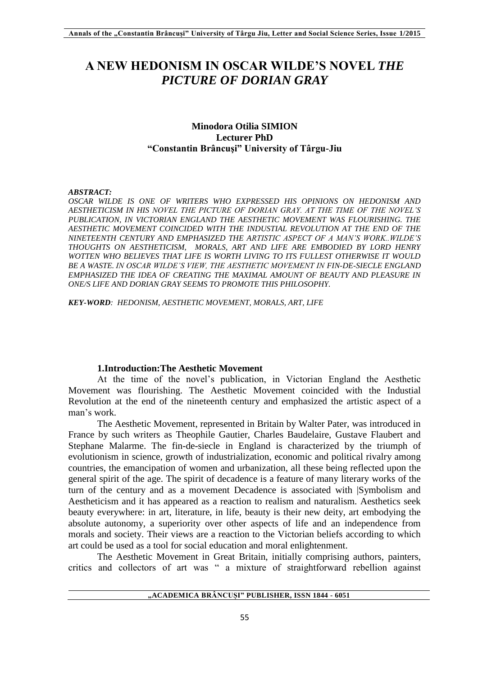# **A NEW HEDONISM IN OSCAR WILDE'S NOVEL** *THE PICTURE OF DORIAN GRAY*

## **Minodora Otilia SIMION Lecturer PhD "Constantin Brâncuşi" University of Târgu-Jiu**

#### *ABSTRACT:*

*OSCAR WILDE IS ONE OF WRITERS WHO EXPRESSED HIS OPINIONS ON HEDONISM AND AESTHETICISM IN HIS NOVEL THE PICTURE OF DORIAN GRAY. AT THE TIME OF THE NOVEL'S PUBLICATION, IN VICTORIAN ENGLAND THE AESTHETIC MOVEMENT WAS FLOURISHING. THE AESTHETIC MOVEMENT COINCIDED WITH THE INDUSTIAL REVOLUTION AT THE END OF THE NINETEENTH CENTURY AND EMPHASIZED THE ARTISTIC ASPECT OF A MAN'S WORK..WILDE'S THOUGHTS ON AESTHETICISM, MORALS, ART AND LIFE ARE EMBODIED BY LORD HENRY WOTTEN WHO BELIEVES THAT LIFE IS WORTH LIVING TO ITS FULLEST OTHERWISE IT WOULD BE A WASTE. IN OSCAR WILDE'S VIEW, THE AESTHETIC MOVEMENT IN FIN-DE-SIECLE ENGLAND EMPHASIZED THE IDEA OF CREATING THE MAXIMAL AMOUNT OF BEAUTY AND PLEASURE IN ONE/S LIFE AND DORIAN GRAY SEEMS TO PROMOTE THIS PHILOSOPHY.* 

*KEY-WORD: HEDONISM, AESTHETIC MOVEMENT, MORALS, ART, LIFE*

#### **1.Introduction:The Aesthetic Movement**

At the time of the novel's publication, in Victorian England the Aesthetic Movement was flourishing. The Aesthetic Movement coincided with the Industial Revolution at the end of the nineteenth century and emphasized the artistic aspect of a man's work.

The Aesthetic Movement, represented in Britain by Walter Pater, was introduced in France by such writers as Theophile Gautier, Charles Baudelaire, Gustave Flaubert and Stephane Malarme. The fin-de-siecle in England is characterized by the triumph of evolutionism in science, growth of industrialization, economic and political rivalry among countries, the emancipation of women and urbanization, all these being reflected upon the general spirit of the age. The spirit of decadence is a feature of many literary works of the turn of the century and as a movement Decadence is associated with |Symbolism and Aestheticism and it has appeared as a reaction to realism and naturalism. Aesthetics seek beauty everywhere: in art, literature, in life, beauty is their new deity, art embodying the absolute autonomy, a superiority over other aspects of life and an independence from morals and society. Their views are a reaction to the Victorian beliefs according to which art could be used as a tool for social education and moral enlightenment.

The Aesthetic Movement in Great Britain, initially comprising authors, painters, critics and collectors of art was " a mixture of straightforward rebellion against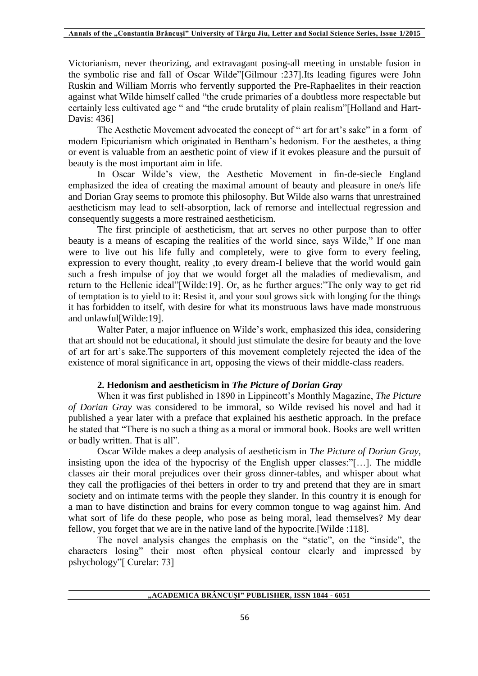Victorianism, never theorizing, and extravagant posing-all meeting in unstable fusion in the symbolic rise and fall of Oscar Wilde"[Gilmour :237].Its leading figures were John Ruskin and William Morris who fervently supported the Pre-Raphaelites in their reaction against what Wilde himself called "the crude primaries of a doubtless more respectable but certainly less cultivated age " and "the crude brutality of plain realism"[Holland and Hart-Davis: 436]

The Aesthetic Movement advocated the concept of " art for art's sake" in a form of modern Epicurianism which originated in Bentham's hedonism. For the aesthetes, a thing or event is valuable from an aesthetic point of view if it evokes pleasure and the pursuit of beauty is the most important aim in life.

In Oscar Wilde's view, the Aesthetic Movement in fin-de-siecle England emphasized the idea of creating the maximal amount of beauty and pleasure in one/s life and Dorian Gray seems to promote this philosophy. But Wilde also warns that unrestrained aestheticism may lead to self-absorption, lack of remorse and intellectual regression and consequently suggests a more restrained aestheticism.

The first principle of aestheticism, that art serves no other purpose than to offer beauty is a means of escaping the realities of the world since, says Wilde," If one man were to live out his life fully and completely, were to give form to every feeling, expression to every thought, reality ,to every dream-I believe that the world would gain such a fresh impulse of joy that we would forget all the maladies of medievalism, and return to the Hellenic ideal"[Wilde:19]. Or, as he further argues:"The only way to get rid of temptation is to yield to it: Resist it, and your soul grows sick with longing for the things it has forbidden to itself, with desire for what its monstruous laws have made monstruous and unlawful[Wilde:19].

Walter Pater, a major influence on Wilde's work, emphasized this idea, considering that art should not be educational, it should just stimulate the desire for beauty and the love of art for art's sake.The supporters of this movement completely rejected the idea of the existence of moral significance in art, opposing the views of their middle-class readers.

### **2. Hedonism and aestheticism in** *The Picture of Dorian Gray*

When it was first published in 1890 in Lippincott's Monthly Magazine, *The Picture of Dorian Gray* was considered to be immoral, so Wilde revised his novel and had it published a year later with a preface that explained his aesthetic approach. In the preface he stated that "There is no such a thing as a moral or immoral book. Books are well written or badly written. That is all".

Oscar Wilde makes a deep analysis of aestheticism in *The Picture of Dorian Gray*, insisting upon the idea of the hypocrisy of the English upper classes:"[…]. The middle classes air their moral prejudices over their gross dinner-tables, and whisper about what they call the profligacies of thei betters in order to try and pretend that they are in smart society and on intimate terms with the people they slander. In this country it is enough for a man to have distinction and brains for every common tongue to wag against him. And what sort of life do these people, who pose as being moral, lead themselves? My dear fellow, you forget that we are in the native land of the hypocrite.[Wilde :118].

The novel analysis changes the emphasis on the "static", on the "inside", the characters losing" their most often physical contour clearly and impressed by pshychology"[ Curelar: 73]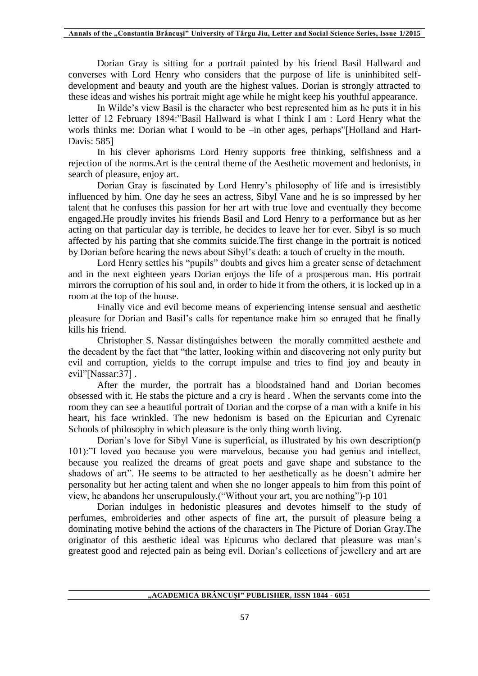Dorian Gray is sitting for a portrait painted by his friend Basil Hallward and converses with Lord Henry who considers that the purpose of life is uninhibited selfdevelopment and beauty and youth are the highest values. Dorian is strongly attracted to these ideas and wishes his portrait might age while he might keep his youthful appearance.

In Wilde's view Basil is the character who best represented him as he puts it in his letter of 12 February 1894:"Basil Hallward is what I think I am : Lord Henry what the worls thinks me: Dorian what I would to be –in other ages, perhaps"[Holland and Hart-Davis: 585]

In his clever aphorisms Lord Henry supports free thinking, selfishness and a rejection of the norms.Art is the central theme of the Aesthetic movement and hedonists, in search of pleasure, enjoy art.

Dorian Gray is fascinated by Lord Henry's philosophy of life and is irresistibly influenced by him. One day he sees an actress, Sibyl Vane and he is so impressed by her talent that he confuses this passion for her art with true love and eventually they become engaged.He proudly invites his friends Basil and Lord Henry to a performance but as her acting on that particular day is terrible, he decides to leave her for ever. Sibyl is so much affected by his parting that she commits suicide.The first change in the portrait is noticed by Dorian before hearing the news about Sibyl's death: a touch of cruelty in the mouth.

Lord Henry settles his "pupils" doubts and gives him a greater sense of detachment and in the next eighteen years Dorian enjoys the life of a prosperous man. His portrait mirrors the corruption of his soul and, in order to hide it from the others, it is locked up in a room at the top of the house.

Finally vice and evil become means of experiencing intense sensual and aesthetic pleasure for Dorian and Basil's calls for repentance make him so enraged that he finally kills his friend.

Christopher S. Nassar distinguishes between the morally committed aesthete and the decadent by the fact that "the latter, looking within and discovering not only purity but evil and corruption, yields to the corrupt impulse and tries to find joy and beauty in evil"[Nassar:37].

After the murder, the portrait has a bloodstained hand and Dorian becomes obsessed with it. He stabs the picture and a cry is heard . When the servants come into the room they can see a beautiful portrait of Dorian and the corpse of a man with a knife in his heart, his face wrinkled. The new hedonism is based on the Epicurian and Cyrenaic Schools of philosophy in which pleasure is the only thing worth living.

Dorian's love for Sibyl Vane is superficial, as illustrated by his own description(p 101):"I loved you because you were marvelous, because you had genius and intellect, because you realized the dreams of great poets and gave shape and substance to the shadows of art". He seems to be attracted to her aesthetically as he doesn't admire her personality but her acting talent and when she no longer appeals to him from this point of view, he abandons her unscrupulously.("Without your art, you are nothing")-p 101

Dorian indulges in hedonistic pleasures and devotes himself to the study of perfumes, embroideries and other aspects of fine art, the pursuit of pleasure being a dominating motive behind the actions of the characters in The Picture of Dorian Gray.The originator of this aesthetic ideal was Epicurus who declared that pleasure was man's greatest good and rejected pain as being evil. Dorian's collections of jewellery and art are